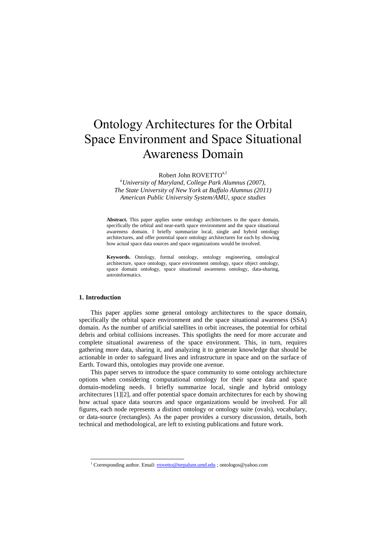# Ontology Architectures for the Orbital Space Environment and Space Situational Awareness Domain

Robert John ROVETTO<sup>a,1</sup>

<sup>a</sup>*University of Maryland, College Park Alumnus (2007), The State University of New York at Buffalo Alumnus (2011) American Public University System/AMU, space studies*

**Abstract.** This paper applies some ontology architectures to the space domain, specifically the orbital and near-earth space environment and the space situational awareness domain. I briefly summarize local, single and hybrid ontology architectures, and offer potential space ontology architectures for each by showing how actual space data sources and space organizations would be involved.

**Keywords.** Ontology, formal ontology, ontology engineering, ontological architecture, space ontology, space environment ontology, space object ontology, space domain ontology, space situational awareness ontology, data-sharing, astroinformatics.

# **1. Introduction**

1

This paper applies some general ontology architectures to the space domain, specifically the orbital space environment and the space situational awareness (SSA) domain. As the number of artificial satellites in orbit increases, the potential for orbital debris and orbital collisions increases. This spotlights the need for more accurate and complete situational awareness of the space environment. This, in turn, requires gathering more data, sharing it, and analyzing it to generate knowledge that should be actionable in order to safeguard lives and infrastructure in space and on the surface of Earth. Toward this, ontologies may provide one avenue.

This paper serves to introduce the space community to some ontology architecture options when considering computational ontology for their space data and space domain-modeling needs. I briefly summarize local, single and hybrid ontology architectures [1][2], and offer potential space domain architectures for each by showing how actual space data sources and space organizations would be involved. For all figures, each node represents a distinct ontology or ontology suite (ovals), vocabulary, or data-source (rectangles). As the paper provides a cursory discussion, details, both technical and methodological, are left to existing publications and future work.

<sup>&</sup>lt;sup>1</sup> Corresponding author. Email: [rrovetto@terpalum.umd.edu](mailto:rrovetto@terpalum.umd.edu) ; ontologos@yahoo.com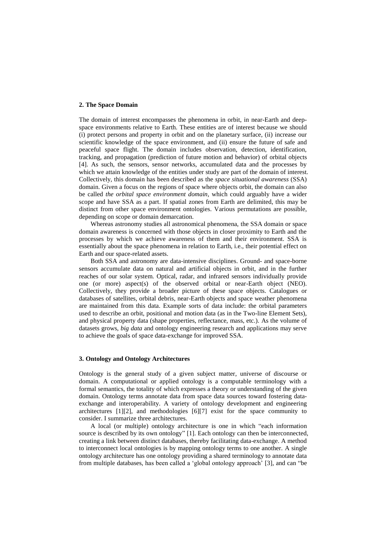# **2. The Space Domain**

The domain of interest encompasses the phenomena in orbit, in near-Earth and deepspace environments relative to Earth. These entities are of interest because we should (i) protect persons and property in orbit and on the planetary surface, (ii) increase our scientific knowledge of the space environment, and (ii) ensure the future of safe and peaceful space flight. The domain includes observation, detection, identification, tracking, and propagation (prediction of future motion and behavior) of orbital objects [4]. As such, the sensors, sensor networks, accumulated data and the processes by which we attain knowledge of the entities under study are part of the domain of interest. Collectively, this domain has been described as the *space situational awareness* (SSA) domain. Given a focus on the regions of space where objects orbit, the domain can also be called *the orbital space environment domain*, which could arguably have a wider scope and have SSA as a part. If spatial zones from Earth are delimited, this may be distinct from other space environment ontologies. Various permutations are possible, depending on scope or domain demarcation.

Whereas astronomy studies all astronomical phenomena, the SSA domain or space domain awareness is concerned with those objects in closer proximity to Earth and the processes by which we achieve awareness of them and their environment. SSA is essentially about the space phenomena in relation to Earth, i.e., their potential effect on Earth and our space-related assets.

Both SSA and astronomy are data-intensive disciplines. Ground- and space-borne sensors accumulate data on natural and artificial objects in orbit, and in the further reaches of our solar system. Optical, radar, and infrared sensors individually provide one (or more) aspect(s) of the observed orbital or near-Earth object (NEO). Collectively, they provide a broader picture of these space objects. Catalogues or databases of satellites, orbital debris, near-Earth objects and space weather phenomena are maintained from this data. Example sorts of data include: the orbital parameters used to describe an orbit, positional and motion data (as in the Two-line Element Sets), and physical property data (shape properties, reflectance, mass, etc.). As the volume of datasets grows, *big data* and ontology engineering research and applications may serve to achieve the goals of space data-exchange for improved SSA.

# **3. Ontology and Ontology Architectures**

Ontology is the general study of a given subject matter, universe of discourse or domain. A computational or applied ontology is a computable terminology with a formal semantics, the totality of which expresses a theory or understanding of the given domain. Ontology terms annotate data from space data sources toward fostering dataexchange and interoperability. A variety of ontology development and engineering architectures [1][2], and methodologies [6][7] exist for the space community to consider. I summarize three architectures.

A local (or multiple) ontology architecture is one in which "each information source is described by its own ontology" [1]. Each ontology can then be interconnected, creating a link between distinct databases, thereby facilitating data-exchange. A method to interconnect local ontologies is by mapping ontology terms to one another. A single ontology architecture has one ontology providing a shared terminology to annotate data from multiple databases, has been called a "global ontology approach" [3], and can "be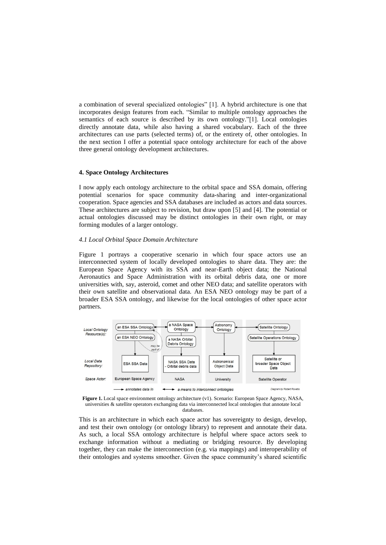a combination of several specialized ontologies" [1]. A hybrid architecture is one that incorporates design features from each. "Similar to multiple ontology approaches the semantics of each source is described by its own ontology."[1]. Local ontologies directly annotate data, while also having a shared vocabulary. Each of the three architectures can use parts (selected terms) of, or the entirety of, other ontologies. In the next section I offer a potential space ontology architecture for each of the above three general ontology development architectures.

#### **4. Space Ontology Architectures**

I now apply each ontology architecture to the orbital space and SSA domain, offering potential scenarios for space community data-sharing and inter-organizational cooperation. Space agencies and SSA databases are included as actors and data sources. These architectures are subject to revision, but draw upon [5] and [4]. The potential or actual ontologies discussed may be distinct ontologies in their own right, or may forming modules of a larger ontology.

### *4.1 Local Orbital Space Domain Architecture*

Figure 1 portrays a cooperative scenario in which four space actors use an interconnected system of locally developed ontologies to share data. They are: the European Space Agency with its SSA and near-Earth object data; the National Aeronautics and Space Administration with its orbital debris data, one or more universities with, say, asteroid, comet and other NEO data; and satellite operators with their own satellite and observational data. An ESA NEO ontology may be part of a broader ESA SSA ontology, and likewise for the local ontologies of other space actor partners.





This is an architecture in which each space actor has sovereignty to design, develop, and test their own ontology (or ontology library) to represent and annotate their data. As such, a local SSA ontology architecture is helpful where space actors seek to exchange information without a mediating or bridging resource. By developing together, they can make the interconnection (e.g. via mappings) and interoperability of their ontologies and systems smoother. Given the space community"s shared scientific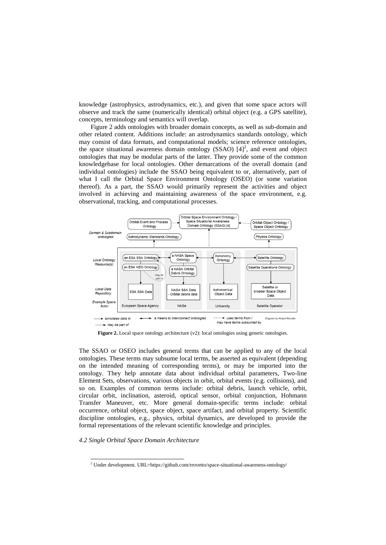knowledge (astrophysics, astrodynamics, etc.), and given that some space actors will observe and track the same (numerically identical) orbital object (e.g. a GPS satellite), concepts, terminology and semantics will overlap.

Figure 2 adds ontologies with broader domain concepts, as well as sub-domain and other related content. Additions include: an astrodynamics standards ontology, which may consist of data formats, and computational models; science reference ontologies, the space situational awareness domain ontology (SSAO)  $[4]^2$ , and event and object ontologies that may be modular parts of the latter. They provide some of the common knowledgebase for local ontologies. Other demarcations of the overall domain (and individual ontologies) include the SSAO being equivalent to or, alternatively, part of what I call the Orbital Space Environment Ontology (OSEO) (or some variation thereof). As a part, the SSAO would primarily represent the activities and object involved in achieving and maintaining awareness of the space environment, e.g. observational, tracking, and computational processes.



Figure 2. Local space ontology architecture (v2): local ontologies using generic ontologies.

The SSAO or OSEO includes general terms that can be applied to any of the local ontologies. These terms may subsume local terms, be asserted as equivalent (depending on the intended meaning of corresponding terms), or may be imported into the ontology. They help annotate data about individual orbital parameters, Two-line Element Sets, observations, various objects in orbit, orbital events (e.g. collisions), and so on. Examples of common terms include: orbital debris, launch vehicle, orbit, circular orbit, inclination, asteroid, optical sensor, orbital conjunction, Hohmann Transfer Maneuver, etc. More general domain-specific terms include: orbital occurrence, orbital object, space object, space artifact, and orbital property. Scientific discipline ontologies, e.g., physics, orbital dynamics, are developed to provide the formal representations of the relevant scientific knowledge and principles.

# *4.2 Single Orbital Space Domain Architecture*

1

<sup>&</sup>lt;sup>2</sup> Under development. URL=https://github.com/rrovetto/space-situational-awareness-ontology/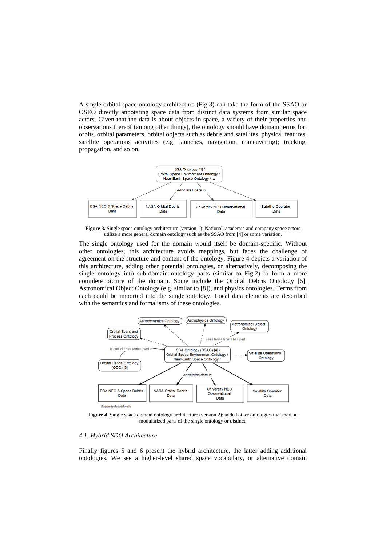A single orbital space ontology architecture (Fig.3) can take the form of the SSAO or OSEO directly annotating space data from distinct data systems from similar space actors. Given that the data is about objects in space, a variety of their properties and observations thereof (among other things), the ontology should have domain terms for: orbits, orbital parameters, orbital objects such as debris and satellites, physical features, satellite operations activities (e.g. launches, navigation, maneuvering); tracking, propagation, and so on.



**Figure 3.** Single space ontology architecture (version 1): National, academia and company space actors utilize a more general domain ontology such as the SSAO from [4] or some variation.

The single ontology used for the domain would itself be domain-specific. Without other ontologies, this architecture avoids mappings, but faces the challenge of agreement on the structure and content of the ontology. Figure 4 depicts a variation of this architecture, adding other potential ontologies, or alternatively, decomposing the single ontology into sub-domain ontology parts (similar to Fig.2) to form a more complete picture of the domain. Some include the Orbital Debris Ontology [5], Astronomical Object Ontology (e.g. similar to [8]), and physics ontologies. Terms from each could be imported into the single ontology. Local data elements are described with the semantics and formalisms of these ontologies.



**Figure 4.** Single space domain ontology architecture (version 2): added other ontologies that may be modularized parts of the single ontology or distinct.

# *4.1. Hybrid SDO Architecture*

Finally figures 5 and 6 present the hybrid architecture, the latter adding additional ontologies. We see a higher-level shared space vocabulary, or alternative domain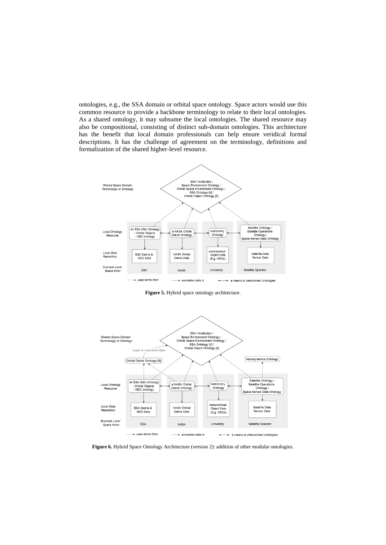ontologies, e.g., the SSA domain or orbital space ontology. Space actors would use this common resource to provide a backbone terminology to relate to their local ontologies. As a shared ontology, it may subsume the local ontologies. The shared resource may also be compositional, consisting of distinct sub-domain ontologies. This architecture has the benefit that local domain professionals can help ensure veridical formal descriptions. It has the challenge of agreement on the terminology, definitions and formalization of the shared higher-level resource.



**Figure 5.** Hybrid space ontology architecture.



**Figure 6.** Hybrid Space Ontology Architecture (version 2): addition of other modular ontologies.